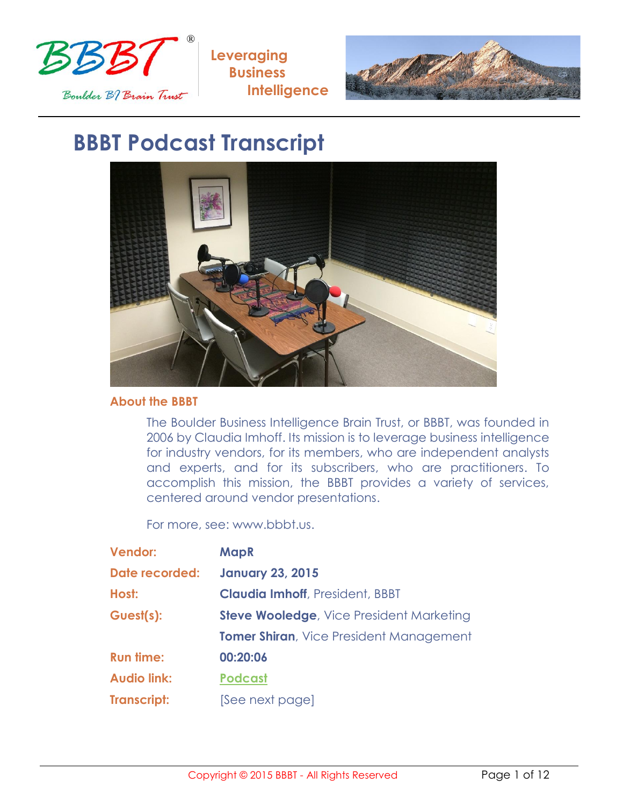



# **BBBT Podcast Transcript**



### **About the BBBT**

The Boulder Business Intelligence Brain Trust, or BBBT, was founded in 2006 by Claudia Imhoff. Its mission is to leverage business intelligence for industry vendors, for its members, who are independent analysts and experts, and for its subscribers, who are practitioners. To accomplish this mission, the BBBT provides a variety of services, centered around vendor presentations.

For more, see: www.bbbt.us.

| <b>Vendor:</b>     | <b>MapR</b>                                     |
|--------------------|-------------------------------------------------|
| Date recorded:     | <b>January 23, 2015</b>                         |
| Host:              | <b>Claudia Imhoff, President, BBBT</b>          |
| Guest(s):          | <b>Steve Wooledge, Vice President Marketing</b> |
|                    | <b>Tomer Shiran, Vice President Management</b>  |
| <b>Run time:</b>   | 00:20:06                                        |
| <b>Audio link:</b> | <b>Podcast</b>                                  |
| <b>Transcript:</b> | [See next page]                                 |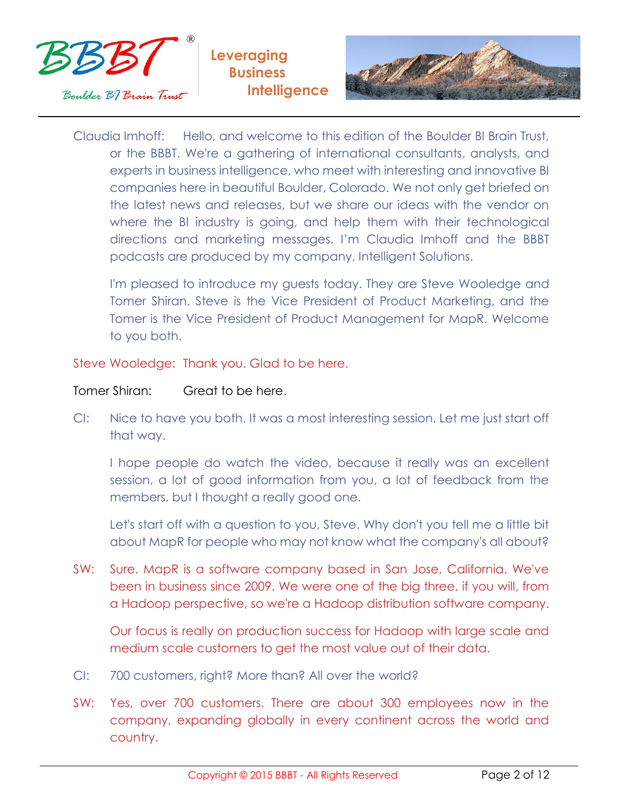



Claudia Imhoff: Hello, and welcome to this edition of the Boulder BI Brain Trust, or the BBBT. We're a gathering of international consultants, analysts, and experts in business intelligence, who meet with interesting and innovative BI companies here in beautiful Boulder, Colorado. We not only get briefed on the latest news and releases, but we share our ideas with the vendor on where the BI industry is going, and help them with their technological directions and marketing messages. I'm Claudia Imhoff and the BBBT podcasts are produced by my company, Intelligent Solutions.

I'm pleased to introduce my guests today. They are Steve Wooledge and Tomer Shiran. Steve is the Vice President of Product Marketing, and the Tomer is the Vice President of Product Management for MapR. Welcome to you both.

Steve Wooledge: Thank you. Glad to be here.

## Tomer Shiran: Great to be here.

CI: Nice to have you both. It was a most interesting session. Let me just start off that way.

I hope people do watch the video, because it really was an excellent session, a lot of good information from you, a lot of feedback from the members, but I thought a really good one.

Let's start off with a question to you, Steve. Why don't you tell me a little bit about MapR for people who may not know what the company's all about?

SW: Sure. MapR is a software company based in San Jose, California. We've been in business since 2009. We were one of the big three, if you will, from a Hadoop perspective, so we're a Hadoop distribution software company.

Our focus is really on production success for Hadoop with large scale and medium scale customers to get the most value out of their data.

- CI: 700 customers, right? More than? All over the world?
- SW: Yes, over 700 customers. There are about 300 employees now in the company, expanding globally in every continent across the world and country.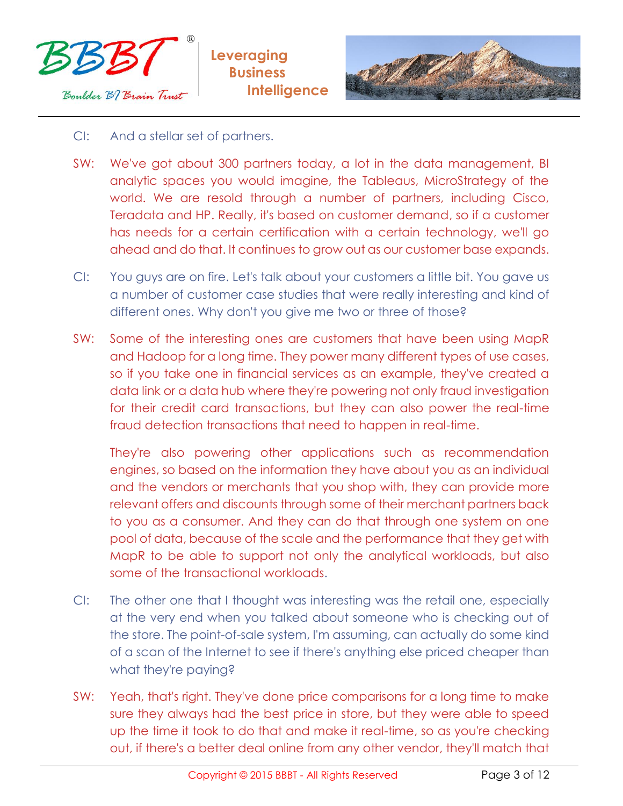



- CI: And a stellar set of partners.
- SW: We've got about 300 partners today, a lot in the data management, BI analytic spaces you would imagine, the Tableaus, MicroStrategy of the world. We are resold through a number of partners, including Cisco, Teradata and HP. Really, it's based on customer demand, so if a customer has needs for a certain certification with a certain technology, we'll go ahead and do that. It continues to grow out as our customer base expands.
- CI: You guys are on fire. Let's talk about your customers a little bit. You gave us a number of customer case studies that were really interesting and kind of different ones. Why don't you give me two or three of those?
- SW: Some of the interesting ones are customers that have been using MapR and Hadoop for a long time. They power many different types of use cases, so if you take one in financial services as an example, they've created a data link or a data hub where they're powering not only fraud investigation for their credit card transactions, but they can also power the real-time fraud detection transactions that need to happen in real-time.

They're also powering other applications such as recommendation engines, so based on the information they have about you as an individual and the vendors or merchants that you shop with, they can provide more relevant offers and discounts through some of their merchant partners back to you as a consumer. And they can do that through one system on one pool of data, because of the scale and the performance that they get with MapR to be able to support not only the analytical workloads, but also some of the transactional workloads.

- CI: The other one that I thought was interesting was the retail one, especially at the very end when you talked about someone who is checking out of the store. The point-of-sale system, I'm assuming, can actually do some kind of a scan of the Internet to see if there's anything else priced cheaper than what they're paying?
- SW: Yeah, that's right. They've done price comparisons for a long time to make sure they always had the best price in store, but they were able to speed up the time it took to do that and make it real-time, so as you're checking out, if there's a better deal online from any other vendor, they'll match that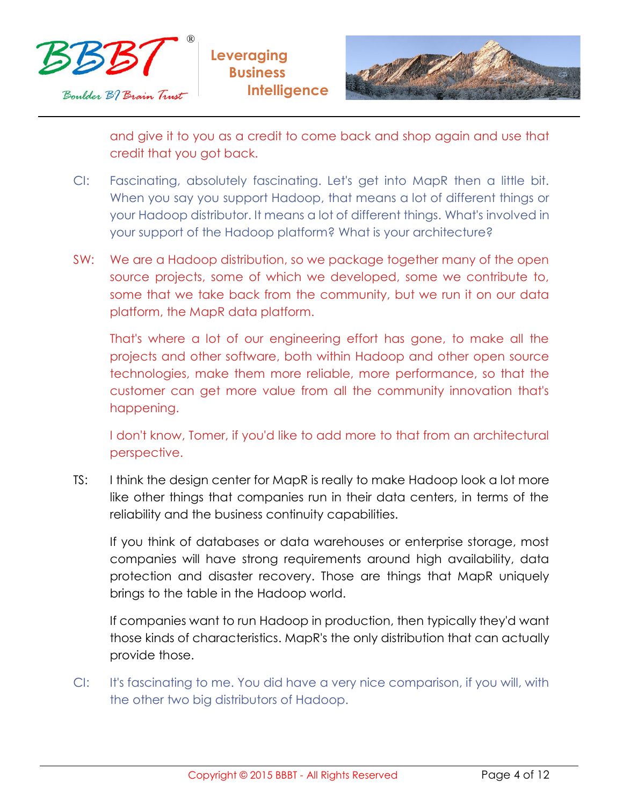



and give it to you as a credit to come back and shop again and use that credit that you got back.

- CI: Fascinating, absolutely fascinating. Let's get into MapR then a little bit. When you say you support Hadoop, that means a lot of different things or your Hadoop distributor. It means a lot of different things. What's involved in your support of the Hadoop platform? What is your architecture?
- SW: We are a Hadoop distribution, so we package together many of the open source projects, some of which we developed, some we contribute to, some that we take back from the community, but we run it on our data platform, the MapR data platform.

That's where a lot of our engineering effort has gone, to make all the projects and other software, both within Hadoop and other open source technologies, make them more reliable, more performance, so that the customer can get more value from all the community innovation that's happening.

I don't know, Tomer, if you'd like to add more to that from an architectural perspective.

TS: I think the design center for MapR is really to make Hadoop look a lot more like other things that companies run in their data centers, in terms of the reliability and the business continuity capabilities.

If you think of databases or data warehouses or enterprise storage, most companies will have strong requirements around high availability, data protection and disaster recovery. Those are things that MapR uniquely brings to the table in the Hadoop world.

If companies want to run Hadoop in production, then typically they'd want those kinds of characteristics. MapR's the only distribution that can actually provide those.

CI: It's fascinating to me. You did have a very nice comparison, if you will, with the other two big distributors of Hadoop.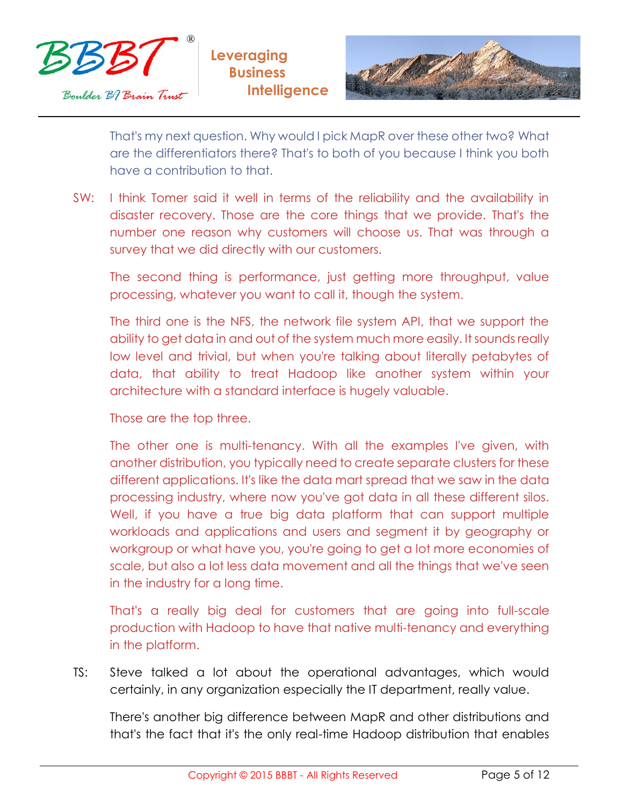



That's my next question. Why would I pick MapR over these other two? What are the differentiators there? That's to both of you because I think you both have a contribution to that.

SW: I think Tomer said it well in terms of the reliability and the availability in disaster recovery. Those are the core things that we provide. That's the number one reason why customers will choose us. That was through a survey that we did directly with our customers.

The second thing is performance, just getting more throughput, value processing, whatever you want to call it, though the system.

The third one is the NFS, the network file system API, that we support the ability to get data in and out of the system much more easily. It sounds really low level and trivial, but when you're talking about literally petabytes of data, that ability to treat Hadoop like another system within your architecture with a standard interface is hugely valuable.

Those are the top three.

The other one is multi-tenancy. With all the examples I've given, with another distribution, you typically need to create separate clusters for these different applications. It's like the data mart spread that we saw in the data processing industry, where now you've got data in all these different silos. Well, if you have a true big data platform that can support multiple workloads and applications and users and segment it by geography or workgroup or what have you, you're going to get a lot more economies of scale, but also a lot less data movement and all the things that we've seen in the industry for a long time.

That's a really big deal for customers that are going into full-scale production with Hadoop to have that native multi-tenancy and everything in the platform.

TS: Steve talked a lot about the operational advantages, which would certainly, in any organization especially the IT department, really value.

There's another big difference between MapR and other distributions and that's the fact that it's the only real-time Hadoop distribution that enables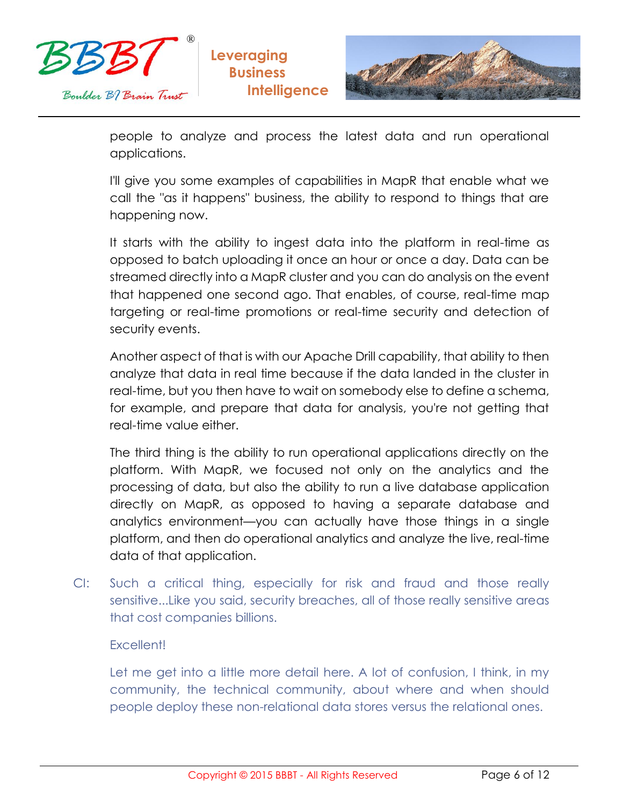



people to analyze and process the latest data and run operational applications.

I'll give you some examples of capabilities in MapR that enable what we call the "as it happens" business, the ability to respond to things that are happening now.

It starts with the ability to ingest data into the platform in real-time as opposed to batch uploading it once an hour or once a day. Data can be streamed directly into a MapR cluster and you can do analysis on the event that happened one second ago. That enables, of course, real-time map targeting or real-time promotions or real-time security and detection of security events.

Another aspect of that is with our Apache Drill capability, that ability to then analyze that data in real time because if the data landed in the cluster in real-time, but you then have to wait on somebody else to define a schema, for example, and prepare that data for analysis, you're not getting that real-time value either.

The third thing is the ability to run operational applications directly on the platform. With MapR, we focused not only on the analytics and the processing of data, but also the ability to run a live database application directly on MapR, as opposed to having a separate database and analytics environment—you can actually have those things in a single platform, and then do operational analytics and analyze the live, real-time data of that application.

CI: Such a critical thing, especially for risk and fraud and those really sensitive...Like you said, security breaches, all of those really sensitive areas that cost companies billions.

## Excellent!

Let me get into a little more detail here. A lot of confusion, I think, in my community, the technical community, about where and when should people deploy these non-relational data stores versus the relational ones.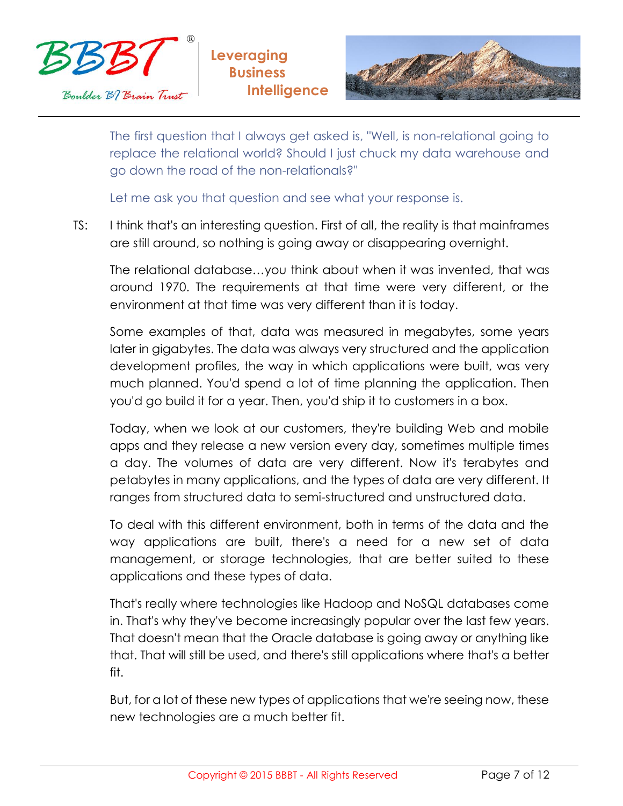



The first question that I always get asked is, "Well, is non-relational going to replace the relational world? Should I just chuck my data warehouse and go down the road of the non-relationals?"

Let me ask you that question and see what your response is.

TS: I think that's an interesting question. First of all, the reality is that mainframes are still around, so nothing is going away or disappearing overnight.

The relational database…you think about when it was invented, that was around 1970. The requirements at that time were very different, or the environment at that time was very different than it is today.

Some examples of that, data was measured in megabytes, some years later in gigabytes. The data was always very structured and the application development profiles, the way in which applications were built, was very much planned. You'd spend a lot of time planning the application. Then you'd go build it for a year. Then, you'd ship it to customers in a box.

Today, when we look at our customers, they're building Web and mobile apps and they release a new version every day, sometimes multiple times a day. The volumes of data are very different. Now it's terabytes and petabytes in many applications, and the types of data are very different. It ranges from structured data to semi-structured and unstructured data.

To deal with this different environment, both in terms of the data and the way applications are built, there's a need for a new set of data management, or storage technologies, that are better suited to these applications and these types of data.

That's really where technologies like Hadoop and NoSQL databases come in. That's why they've become increasingly popular over the last few years. That doesn't mean that the Oracle database is going away or anything like that. That will still be used, and there's still applications where that's a better fit.

But, for a lot of these new types of applications that we're seeing now, these new technologies are a much better fit.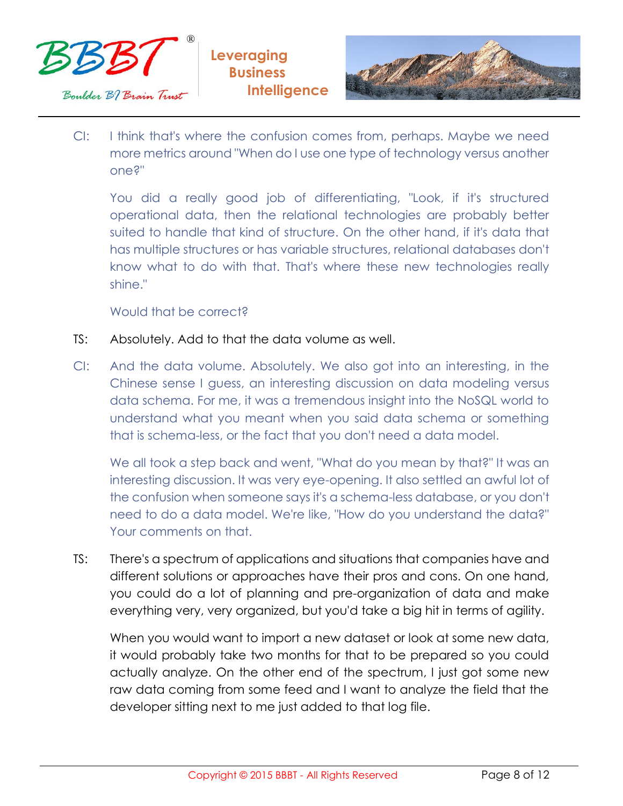



CI: I think that's where the confusion comes from, perhaps. Maybe we need more metrics around "When do I use one type of technology versus another one?"

You did a really good job of differentiating, "Look, if it's structured operational data, then the relational technologies are probably better suited to handle that kind of structure. On the other hand, if it's data that has multiple structures or has variable structures, relational databases don't know what to do with that. That's where these new technologies really shine."

## Would that be correct?

- TS: Absolutely. Add to that the data volume as well.
- CI: And the data volume. Absolutely. We also got into an interesting, in the Chinese sense I guess, an interesting discussion on data modeling versus data schema. For me, it was a tremendous insight into the NoSQL world to understand what you meant when you said data schema or something that is schema-less, or the fact that you don't need a data model.

We all took a step back and went, "What do you mean by that?" It was an interesting discussion. It was very eye-opening. It also settled an awful lot of the confusion when someone says it's a schema-less database, or you don't need to do a data model. We're like, "How do you understand the data?" Your comments on that.

TS: There's a spectrum of applications and situations that companies have and different solutions or approaches have their pros and cons. On one hand, you could do a lot of planning and pre-organization of data and make everything very, very organized, but you'd take a big hit in terms of agility.

When you would want to import a new dataset or look at some new data, it would probably take two months for that to be prepared so you could actually analyze. On the other end of the spectrum, I just got some new raw data coming from some feed and I want to analyze the field that the developer sitting next to me just added to that log file.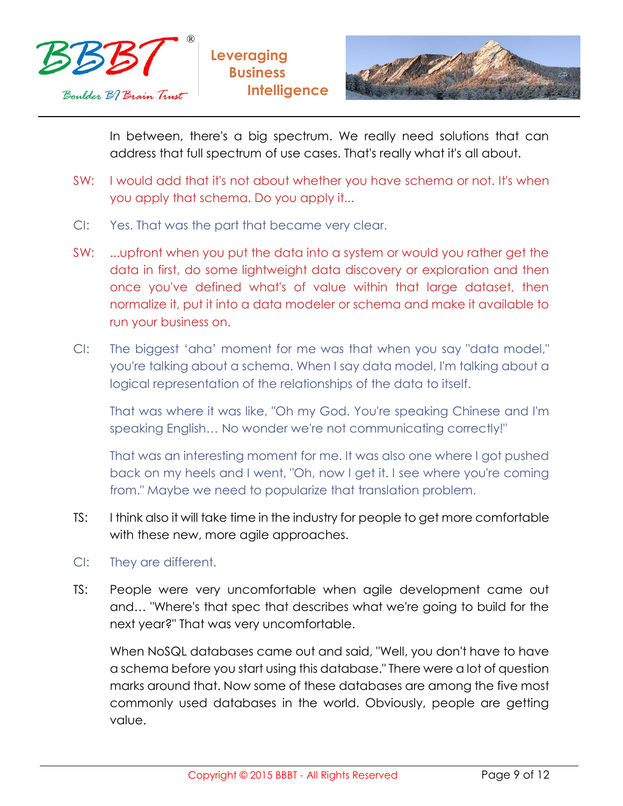



In between, there's a big spectrum. We really need solutions that can address that full spectrum of use cases. That's really what it's all about.

- SW: I would add that it's not about whether you have schema or not. It's when you apply that schema. Do you apply it...
- CI: Yes. That was the part that became very clear.
- SW: ...upfront when you put the data into a system or would you rather get the data in first, do some lightweight data discovery or exploration and then once you've defined what's of value within that large dataset, then normalize it, put it into a data modeler or schema and make it available to run your business on.
- CI: The biggest 'aha' moment for me was that when you say "data model," you're talking about a schema. When I say data model, I'm talking about a logical representation of the relationships of the data to itself.

That was where it was like, "Oh my God. You're speaking Chinese and I'm speaking English… No wonder we're not communicating correctly!"

That was an interesting moment for me. It was also one where I got pushed back on my heels and I went, "Oh, now I get it. I see where you're coming from." Maybe we need to popularize that translation problem.

- TS: I think also it will take time in the industry for people to get more comfortable with these new, more agile approaches.
- CI: They are different.
- TS: People were very uncomfortable when agile development came out and… "Where's that spec that describes what we're going to build for the next year?" That was very uncomfortable.

When NoSQL databases came out and said, "Well, you don't have to have a schema before you start using this database." There were a lot of question marks around that. Now some of these databases are among the five most commonly used databases in the world. Obviously, people are getting value.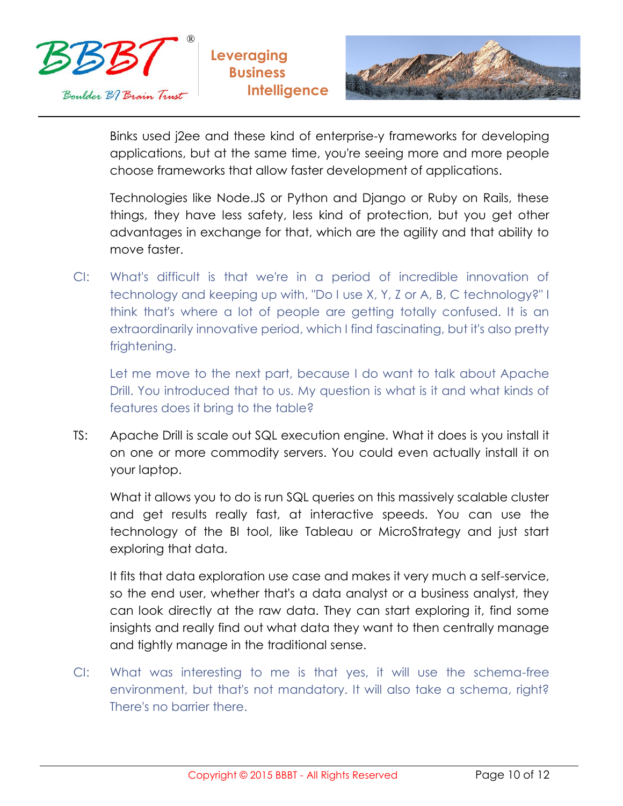



Binks used j2ee and these kind of enterprise-y frameworks for developing applications, but at the same time, you're seeing more and more people choose frameworks that allow faster development of applications.

Technologies like Node.JS or Python and Django or Ruby on Rails, these things, they have less safety, less kind of protection, but you get other advantages in exchange for that, which are the agility and that ability to move faster.

CI: What's difficult is that we're in a period of incredible innovation of technology and keeping up with, "Do I use X, Y, Z or A, B, C technology?" I think that's where a lot of people are getting totally confused. It is an extraordinarily innovative period, which I find fascinating, but it's also pretty frightening.

Let me move to the next part, because I do want to talk about Apache Drill. You introduced that to us. My question is what is it and what kinds of features does it bring to the table?

TS: Apache Drill is scale out SQL execution engine. What it does is you install it on one or more commodity servers. You could even actually install it on your laptop.

What it allows you to do is run SQL queries on this massively scalable cluster and get results really fast, at interactive speeds. You can use the technology of the BI tool, like Tableau or MicroStrategy and just start exploring that data.

It fits that data exploration use case and makes it very much a self-service, so the end user, whether that's a data analyst or a business analyst, they can look directly at the raw data. They can start exploring it, find some insights and really find out what data they want to then centrally manage and tightly manage in the traditional sense.

CI: What was interesting to me is that yes, it will use the schema-free environment, but that's not mandatory. It will also take a schema, right? There's no barrier there.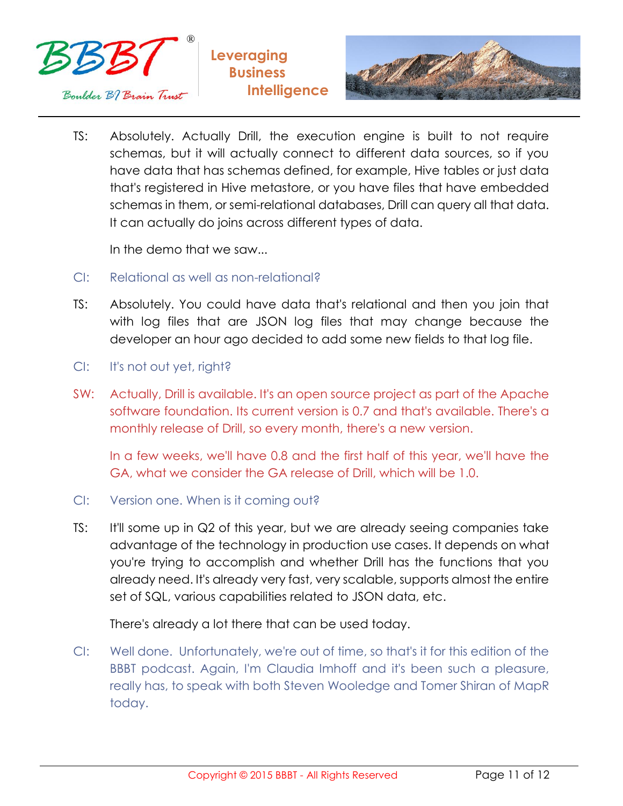





TS: Absolutely. Actually Drill, the execution engine is built to not require schemas, but it will actually connect to different data sources, so if you have data that has schemas defined, for example, Hive tables or just data that's registered in Hive metastore, or you have files that have embedded schemas in them, or semi-relational databases, Drill can query all that data. It can actually do joins across different types of data.

In the demo that we saw...

- CI: Relational as well as non-relational?
- TS: Absolutely. You could have data that's relational and then you join that with log files that are JSON log files that may change because the developer an hour ago decided to add some new fields to that log file.
- CI: It's not out yet, right?
- SW: Actually, Drill is available. It's an open source project as part of the Apache software foundation. Its current version is 0.7 and that's available. There's a monthly release of Drill, so every month, there's a new version.

In a few weeks, we'll have 0.8 and the first half of this year, we'll have the GA, what we consider the GA release of Drill, which will be 1.0.

- CI: Version one. When is it coming out?
- TS: It'll some up in Q2 of this year, but we are already seeing companies take advantage of the technology in production use cases. It depends on what you're trying to accomplish and whether Drill has the functions that you already need. It's already very fast, very scalable, supports almost the entire set of SQL, various capabilities related to JSON data, etc.

There's already a lot there that can be used today.

CI: Well done. Unfortunately, we're out of time, so that's it for this edition of the BBBT podcast. Again, I'm Claudia Imhoff and it's been such a pleasure, really has, to speak with both Steven Wooledge and Tomer Shiran of MapR today.